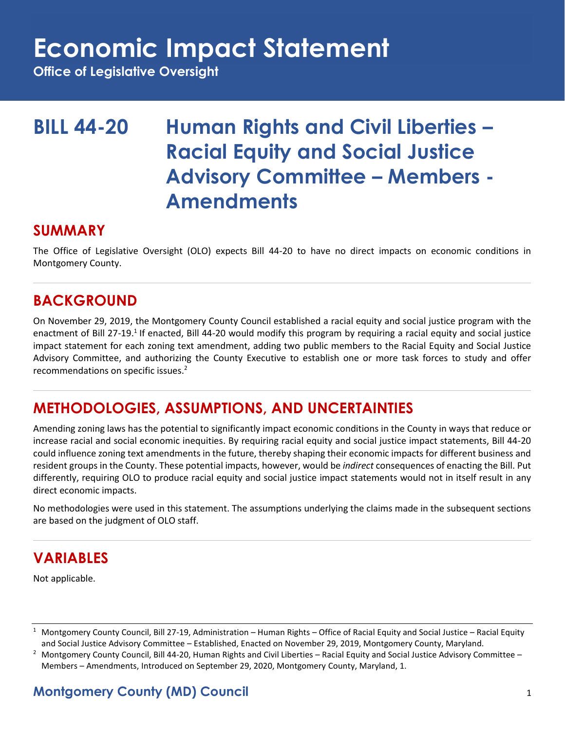## **Economic Impact Statement**

**Office of Legislative Oversight**

## **BILL 44-20 Human Rights and Civil Liberties – Racial Equity and Social Justice Advisory Committee – Members - Amendments**

### **SUMMARY**

The Office of Legislative Oversight (OLO) expects Bill 44-20 to have no direct impacts on economic conditions in Montgomery County.

## **BACKGROUND**

On November 29, 2019, the Montgomery County Council established a racial equity and social justice program with the enactment of Bill 27-19.<sup>1</sup> If enacted, Bill 44-20 would modify this program by requiring a racial equity and social justice impact statement for each zoning text amendment, adding two public members to the Racial Equity and Social Justice Advisory Committee, and authorizing the County Executive to establish one or more task forces to study and offer recommendations on specific issues.<sup>2</sup>

## **METHODOLOGIES, ASSUMPTIONS, AND UNCERTAINTIES**

Amending zoning laws has the potential to significantly impact economic conditions in the County in ways that reduce or increase racial and social economic inequities. By requiring racial equity and social justice impact statements, Bill 44-20 could influence zoning text amendments in the future, thereby shaping their economic impacts for different business and resident groups in the County. These potential impacts, however, would be *indirect* consequences of enacting the Bill. Put differently, requiring OLO to produce racial equity and social justice impact statements would not in itself result in any direct economic impacts.

No methodologies were used in this statement. The assumptions underlying the claims made in the subsequent sections are based on the judgment of OLO staff.

## **VARIABLES**

Not applicable.

### **Montgomery County (MD) Council** 1

<sup>&</sup>lt;sup>1</sup> Montgomery County Council, Bill 27-19, Administration – Human Rights – Office of Racial Equity and Social Justice – Racial Equity and Social Justice Advisory Committee – Established, Enacted on November 29, 2019, Montgomery County, Maryland.

<sup>&</sup>lt;sup>2</sup> Montgomery County Council, Bill 44-20, Human Rights and Civil Liberties – Racial Equity and Social Justice Advisory Committee – Members – Amendments, Introduced on September 29, 2020, Montgomery County, Maryland, 1.